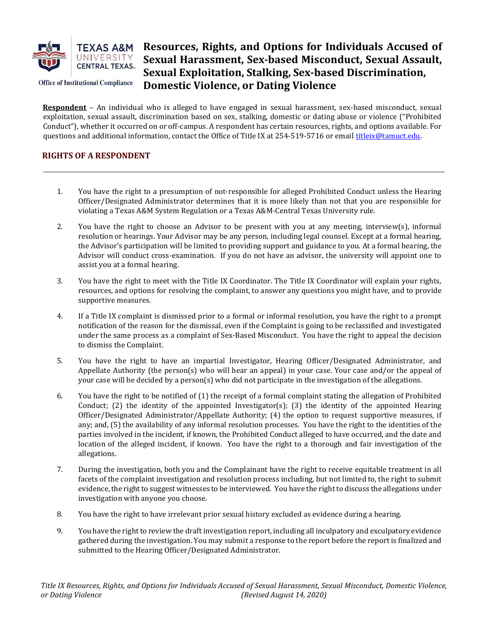

**Office of Institutional Compliance** 

# Resources, Rights, and Options for Individuals Accused of Sexual Harassment, Sex-based Misconduct, Sexual Assault, Sexual Exploitation, Stalking, Sex-based Discrimination, Domestic Violence, or Dating Violence

Respondent – An individual who is alleged to have engaged in sexual harassment, sex-based misconduct, sexual exploitation, sexual assault, discrimination based on sex, stalking, domestic or dating abuse or violence ("Prohibited Conduct"), whether it occurred on or off-campus. A respondent has certain resources, rights, and options available. For questions and additional information, contact the Office of Title IX at 254-519-5716 or email titleix@tamuct.edu.

# RIGHTS OF A RESPONDENT

- 1. You have the right to a presumption of not-responsible for alleged Prohibited Conduct unless the Hearing Officer/Designated Administrator determines that it is more likely than not that you are responsible for violating a Texas A&M System Regulation or a Texas A&M-Central Texas University rule.
- 2. You have the right to choose an Advisor to be present with you at any meeting, interview(s), informal resolution or hearings. Your Advisor may be any person, including legal counsel. Except at a formal hearing, the Advisor's participation will be limited to providing support and guidance to you. At a formal hearing, the Advisor will conduct cross-examination. If you do not have an advisor, the university will appoint one to assist you at a formal hearing.
- 3. You have the right to meet with the Title IX Coordinator. The Title IX Coordinator will explain your rights, resources, and options for resolving the complaint, to answer any questions you might have, and to provide supportive measures.
- 4. If a Title IX complaint is dismissed prior to a formal or informal resolution, you have the right to a prompt notification of the reason for the dismissal, even if the Complaint is going to be reclassified and investigated under the same process as a complaint of Sex-Based Misconduct. You have the right to appeal the decision to dismiss the Complaint.
- 5. You have the right to have an impartial Investigator, Hearing Officer/Designated Administrator, and Appellate Authority (the person(s) who will hear an appeal) in your case. Your case and/or the appeal of your case will be decided by a person(s) who did not participate in the investigation of the allegations.
- 6. You have the right to be notified of (1) the receipt of a formal complaint stating the allegation of Prohibited Conduct; (2) the identity of the appointed Investigator(s); (3) the identity of the appointed Hearing Officer/Designated Administrator/Appellate Authority; (4) the option to request supportive measures, if any; and, (5) the availability of any informal resolution processes. You have the right to the identities of the parties involved in the incident, if known, the Prohibited Conduct alleged to have occurred, and the date and location of the alleged incident, if known. You have the right to a thorough and fair investigation of the allegations.
- 7. During the investigation, both you and the Complainant have the right to receive equitable treatment in all facets of the complaint investigation and resolution process including, but not limited to, the right to submit evidence, the right to suggest witnesses to be interviewed. You have the right to discuss the allegations under investigation with anyone you choose.
- 8. You have the right to have irrelevant prior sexual history excluded as evidence during a hearing.
- 9. You have the right to review the draft investigation report, including all inculpatory and exculpatory evidence gathered during the investigation. You may submit a response to the report before the report is finalized and submitted to the Hearing Officer/Designated Administrator.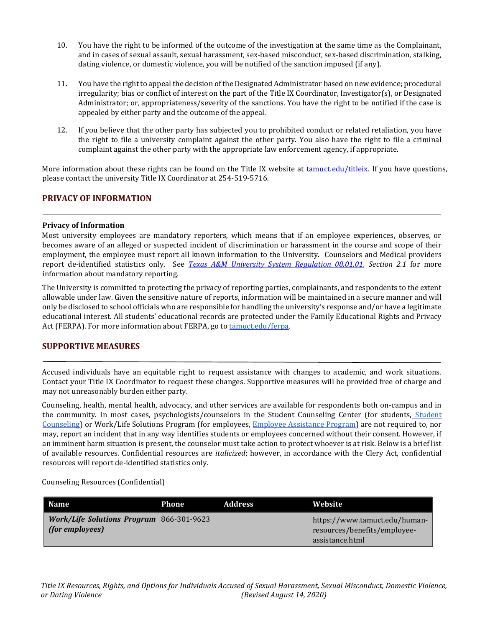- 10. You have the right to be informed of the outcome of the investigation at the same time as the Complainant, and in cases of sexual assault, sexual harassment, sex-based misconduct, sex-based discrimination, stalking, dating violence, or domestic violence, you will be notified of the sanction imposed (if any).
- 11. You have the right to appeal the decision of the Designated Administrator based on new evidence; procedural irregularity; bias or conflict of interest on the part of the Title IX Coordinator, Investigator(s), or Designated Administrator; or, appropriateness/severity of the sanctions. You have the right to be notified if the case is appealed by either party and the outcome of the appeal.
- 12. If you believe that the other party has subjected you to prohibited conduct or related retaliation, you have the right to file a university complaint against the other party. You also have the right to file a criminal complaint against the other party with the appropriate law enforcement agency, if appropriate.

More information about these rights can be found on the Title IX website at tamuct.edu/titleix. If you have questions, please contact the university Title IX Coordinator at 254-519-5716.

## PRIVACY OF INFORMATION

#### Privacy of Information

Most university employees are mandatory reporters, which means that if an employee experiences, observes, or becomes aware of an alleged or suspected incident of discrimination or harassment in the course and scope of their employment, the employee must report all known information to the University. Counselors and Medical providers report de-identified statistics only. See Texas A&M University System Regulation 08.01.01, Section 2.1 for more information about mandatory reporting.

The University is committed to protecting the privacy of reporting parties, complainants, and respondents to the extent allowable under law. Given the sensitive nature of reports, information will be maintained in a secure manner and will only be disclosed to school officials who are responsible for handling the university's response and/or have a legitimate educational interest. All students' educational records are protected under the Family Educational Rights and Privacy Act (FERPA). For more information about FERPA, go to **tamuctedu/ferpa**.

### SUPPORTIVE MEASURES

Accused individuals have an equitable right to request assistance with changes to academic, and work situations. Contact your Title IX Coordinator to request these changes. Supportive measures will be provided free of charge and may not unreasonably burden either party.

Counseling, health, mental health, advocacy, and other services are available for respondents both on-campus and in the community. In most cases, psychologists/counselors in the Student Counseling Center (for students, Student Counseling) or Work/Life Solutions Program (for employees, Employee Assistance Program) are not required to, nor may, report an incident that in any way identifies students or employees concerned without their consent. However, if an imminent harm situation is present, the counselor must take action to protect whoever is at risk. Below is a brief list of available resources. Confidential resources are italicized; however, in accordance with the Clery Act, confidential resources will report de-identified statistics only.

Counseling Resources (Confidential)

| Name                                                                      | Phone | <b>Address</b> | Website                                                                          |
|---------------------------------------------------------------------------|-------|----------------|----------------------------------------------------------------------------------|
| <b>Work/Life Solutions Program 866-301-9623</b><br>$\int$ (for employees) |       |                | https://www.tamuct.edu/human-<br>resources/benefits/employee-<br>assistance.html |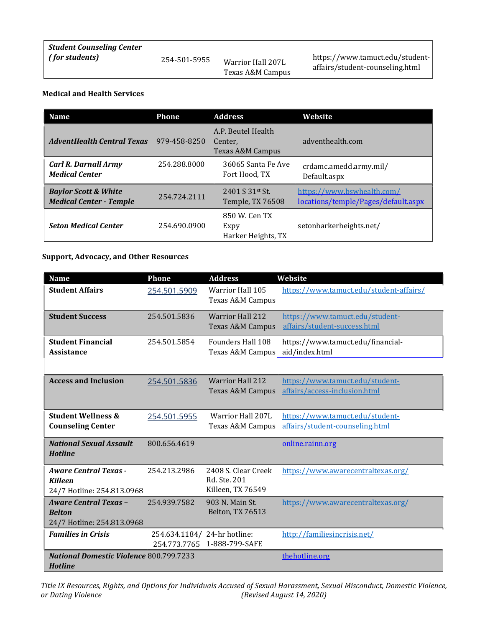| <b>Student Counseling Center</b> |              |                                       |                                                                    |
|----------------------------------|--------------|---------------------------------------|--------------------------------------------------------------------|
| $\mid$ (for students)            | 254-501-5955 | Warrior Hall 207L<br>Texas A&M Campus | https://www.tamuct.edu/student-<br>affairs/student-counseling.html |

### Medical and Health Services

| <b>Name</b>                                                       | <b>Address</b><br><b>Phone</b> |                                                              | Website                                                           |  |
|-------------------------------------------------------------------|--------------------------------|--------------------------------------------------------------|-------------------------------------------------------------------|--|
| <b>AdventHealth Central Texas</b>                                 | 979-458-8250                   | A.P. Beutel Health<br>Center,<br><b>Texas A&amp;M Campus</b> | adventhealth.com                                                  |  |
| <b>Carl R. Darnall Army</b><br><b>Medical Center</b>              | 254.288.8000                   | 36065 Santa Fe Ave<br>Fort Hood, TX                          | crdamc.amedd.army.mil/<br>Default.aspx                            |  |
| <b>Baylor Scott &amp; White</b><br><b>Medical Center - Temple</b> | 254.724.2111                   | 2401 S 31st St.<br>Temple, TX 76508                          | https://www.bswhealth.com/<br>locations/temple/Pages/default.aspx |  |
| <b>Seton Medical Center</b>                                       | 254.690.0900                   | 850 W. Cen TX<br>Expy<br>Harker Heights, TX                  | setonharkerheights.net/                                           |  |

# Support, Advocacy, and Other Resources

| <b>Name</b>                                                                  | <b>Phone</b>                  | <b>Address</b>                                           | Website                                                            |
|------------------------------------------------------------------------------|-------------------------------|----------------------------------------------------------|--------------------------------------------------------------------|
| <b>Student Affairs</b>                                                       | 254.501.5909                  | <b>Warrior Hall 105</b><br>Texas A&M Campus              | https://www.tamuct.edu/student-affairs/                            |
| <b>Student Success</b>                                                       | 254.501.5836                  | <b>Warrior Hall 212</b><br><b>Texas A&amp;M Campus</b>   | https://www.tamuct.edu/student-<br>affairs/student-success.html    |
| <b>Student Financial</b><br><b>Assistance</b>                                | 254.501.5854                  | <b>Founders Hall 108</b><br>Texas A&M Campus             | https://www.tamuct.edu/financial-<br>aid/index.html                |
|                                                                              |                               |                                                          |                                                                    |
| <b>Access and Inclusion</b>                                                  | 254.501.5836                  | <b>Warrior Hall 212</b><br><b>Texas A&amp;M Campus</b>   | https://www.tamuct.edu/student-<br>affairs/access-inclusion.html   |
|                                                                              |                               |                                                          |                                                                    |
| <b>Student Wellness &amp;</b><br><b>Counseling Center</b>                    | 254.501.5955                  | <b>Warrior Hall 207L</b><br><b>Texas A&amp;M Campus</b>  | https://www.tamuct.edu/student-<br>affairs/student-counseling.html |
| <b>National Sexual Assault</b><br><b>Hotline</b>                             | 800.656.4619                  |                                                          | online.rainn.org                                                   |
| <b>Aware Central Texas -</b><br><b>Killeen</b><br>24/7 Hotline: 254.813.0968 | 254.213.2986                  | 2408 S. Clear Creek<br>Rd. Ste. 201<br>Killeen, TX 76549 | https://www.awarecentraltexas.org/                                 |
| <b>Aware Central Texas -</b><br><b>Belton</b><br>24/7 Hotline: 254.813.0968  | 254.939.7582                  | 903 N. Main St.<br>Belton, TX 76513                      | https://www.awarecentraltexas.org/                                 |
| <b>Families in Crisis</b>                                                    | 254.634.1184/<br>254.773.7765 | 24-hr hotline:<br>1-888-799-SAFE                         | http://familiesincrisis.net/                                       |
| <b>National Domestic Violence 800.799.7233</b><br><b>Hotline</b>             |                               |                                                          | thehotline.org                                                     |

Title IX Resources, Rights, and Options for Individuals Accused of Sexual Harassment, Sexual Misconduct, Domestic Violence,<br>or Dating Violence (Revised August 14, 2020)  $(Revised August 14, 2020)$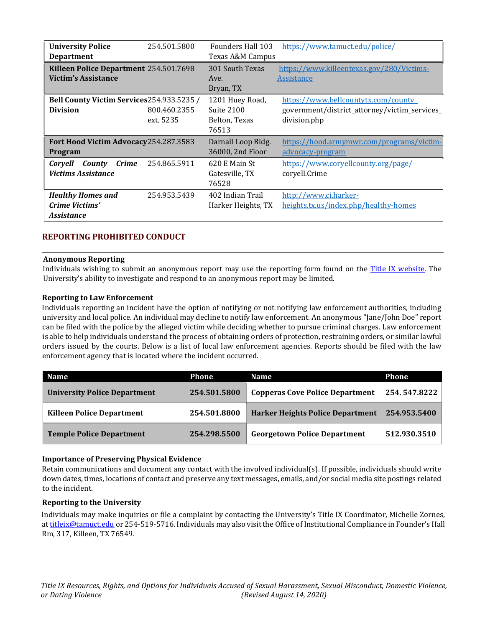| <b>University Police</b>                   | 254.501.5800 | Founders Hall 103  | https://www.tamuct.edu/police/                |
|--------------------------------------------|--------------|--------------------|-----------------------------------------------|
| <b>Department</b>                          |              | Texas A&M Campus   |                                               |
| Killeen Police Department 254.501.7698     |              | 301 South Texas    | https://www.killeentexas.gov/280/Victims-     |
| <b>Victim's Assistance</b>                 |              | Ave.               | Assistance                                    |
|                                            |              | Bryan, TX          |                                               |
| Bell County Victim Services 254.933.5235 / |              | 1201 Huey Road,    | https://www.bellcountytx.com/county_          |
| <b>Division</b>                            | 800.460.2355 | Suite 2100         | government/district_attorney/victim_services_ |
|                                            | ext. 5235    | Belton, Texas      | division.php                                  |
|                                            |              | 76513              |                                               |
| Fort Hood Victim Advocacy 254.287.3583     |              | Darnall Loop Bldg. | https://hood.armymwr.com/programs/victim-     |
| <b>Program</b>                             |              | 36000, 2nd Floor   | advocacy-program                              |
| County<br><i>Crime</i><br>Corvell          | 254.865.5911 | 620 E Main St      | https://www.coryellcounty.org/page/           |
| <b>Victims Assistance</b>                  |              | Gatesville, TX     | coryell.Crime                                 |
|                                            |              | 76528              |                                               |
| <b>Healthy Homes and</b>                   | 254.953.5439 | 402 Indian Trail   | http://www.ci.harker-                         |
| Crime Victims'                             |              | Harker Heights, TX | heights.tx.us/index.php/healthy-homes         |
| <i><b>Assistance</b></i>                   |              |                    |                                               |

# REPORTING PROHIBITED CONDUCT

#### Anonymous Reporting

Individuals wishing to submit an anonymous report may use the reporting form found on the Title IX website. The University's ability to investigate and respond to an anonymous report may be limited.

#### Reporting to Law Enforcement

Individuals reporting an incident have the option of notifying or not notifying law enforcement authorities, including university and local police. An individual may decline to notify law enforcement. An anonymous "Jane/John Doe" report can be filed with the police by the alleged victim while deciding whether to pursue criminal charges. Law enforcement is able to help individuals understand the process of obtaining orders of protection, restraining orders, or similar lawful orders issued by the courts. Below is a list of local law enforcement agencies. Reports should be filed with the law enforcement agency that is located where the incident occurred.

| <b>Name</b>                         | Phone        | <b>Name</b>                             | Phone        |
|-------------------------------------|--------------|-----------------------------------------|--------------|
| <b>University Police Department</b> | 254.501.5800 | <b>Copperas Cove Police Department</b>  | 254.547.8222 |
| <b>Killeen Police Department</b>    | 254.501.8800 | <b>Harker Heights Police Department</b> | 254.953.5400 |
| <b>Temple Police Department</b>     | 254.298.5500 | <b>Georgetown Police Department</b>     | 512.930.3510 |

#### Importance of Preserving Physical Evidence

Retain communications and document any contact with the involved individual(s). If possible, individuals should write down dates, times, locations of contact and preserve any text messages, emails, and/or social media site postings related to the incident.

#### Reporting to the University

Individuals may make inquiries or file a complaint by contacting the University's Title IX Coordinator, Michelle Zornes, at titleix@tamuct.edu or 254-519-5716. Individuals may also visit the Office of Institutional Compliance in Founder's Hall Rm, 317, Killeen, TX 76549.